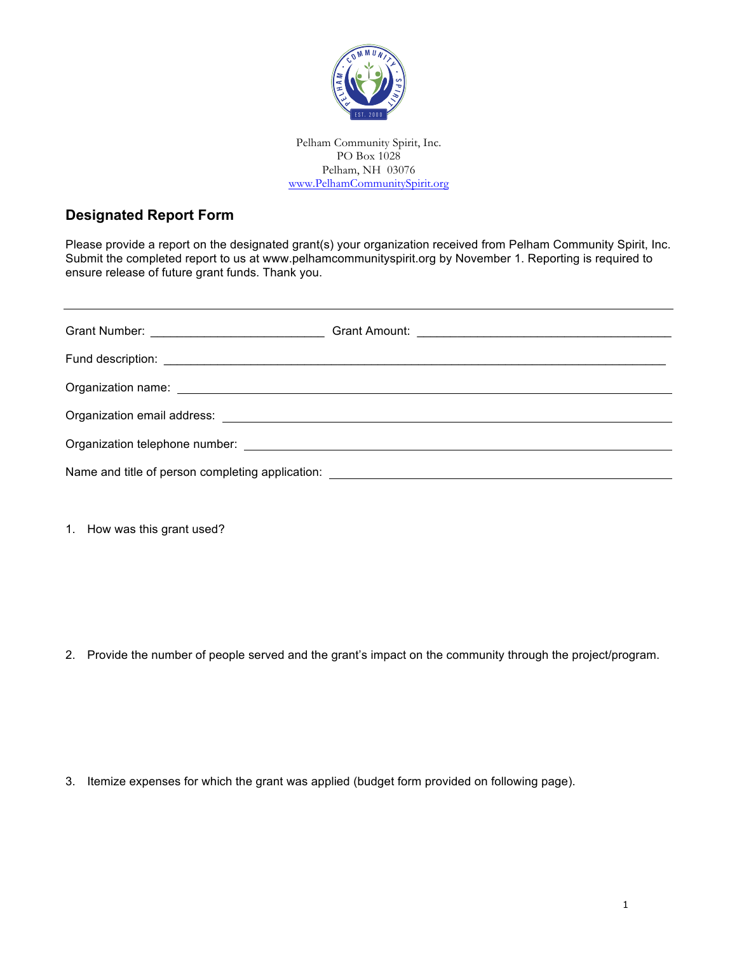

Pelham Community Spirit, Inc. PO Box 1028 Pelham, NH 03076 www.PelhamCommunitySpirit.org

## **Designated Report Form**

Please provide a report on the designated grant(s) your organization received from Pelham Community Spirit, Inc. Submit the completed report to us at www.pelhamcommunityspirit.org by November 1. Reporting is required to ensure release of future grant funds. Thank you.

1. How was this grant used?

2. Provide the number of people served and the grant's impact on the community through the project/program.

3. Itemize expenses for which the grant was applied (budget form provided on following page).